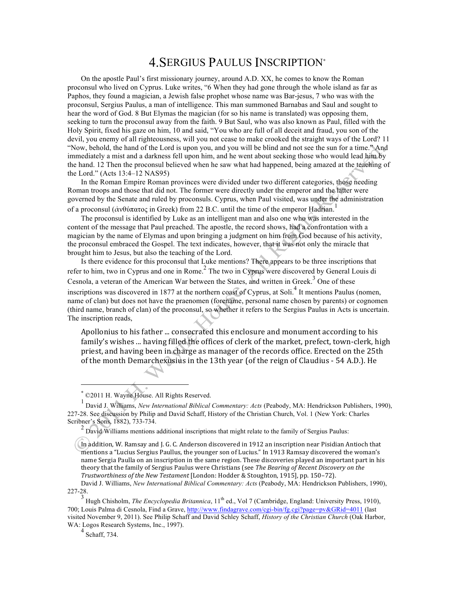## 4.SERGIUS PAULUS INSCRIPTION<sup>∗</sup>

On the apostle Paul's first missionary journey, around A.D. XX, he comes to know the Roman proconsul who lived on Cyprus. Luke writes, "6 When they had gone through the whole island as far as Paphos, they found a magician, a Jewish false prophet whose name was Bar-jesus, 7 who was with the proconsul, Sergius Paulus, a man of intelligence. This man summoned Barnabas and Saul and sought to hear the word of God. 8 But Elymas the magician (for so his name is translated) was opposing them, seeking to turn the proconsul away from the faith. 9 But Saul, who was also known as Paul, filled with the Holy Spirit, fixed his gaze on him, 10 and said, "You who are full of all deceit and fraud, you son of the devil, you enemy of all righteousness, will you not cease to make crooked the straight ways of the Lord? 11 "Now, behold, the hand of the Lord is upon you, and you will be blind and not see the sun for a time." And immediately a mist and a darkness fell upon him, and he went about seeking those who would lead him by the hand. 12 Then the proconsul believed when he saw what had happened, being amazed at the teaching of the Lord." (Acts 13:4–12 NAS95)

In the Roman Empire Roman provinces were divided under two different categories, those needing Roman troops and those that did not. The former were directly under the emperor and the latter were governed by the Senate and ruled by proconsuls. Cyprus, when Paul visited, was under the administration of a proconsul (ἀνθύπατος in Greek) from 22 B.C. until the time of the emperor Hadrian.

The proconsul is identified by Luke as an intelligent man and also one who was interested in the content of the message that Paul preached. The apostle, the record shows, had a confrontation with a magician by the name of Elymas and upon bringing a judgment on him from God because of his activity, the proconsul embraced the Gospel. The text indicates, however, that it was not only the miracle that brought him to Jesus, but also the teaching of the Lord.

Is there evidence for this proconsul that Luke mentions? There appears to be three inscriptions that refer to him, two in Cyprus and one in Rome.<sup>2</sup> The two in Cyprus were discovered by General Louis di Cesnola, a veteran of the American War between the States, and written in Greek.<sup>3</sup> One of these inscriptions was discovered in 1877 at the northern coast of Cyprus, at Soli.<sup>4</sup> It mentions Paulus (nomen, name of clan) but does not have the praenomen (forename, personal name chosen by parents) or cognomen (third name, branch of clan) of the proconsul, so whether it refers to the Sergius Paulus in Acts is uncertain. The inscription reads,

Apollonius to his father ... consecrated this enclosure and monument according to his family's wishes ... having filled the offices of clerk of the market, prefect, town-clerk, high priest, and having been in charge as manager of the records office. Erected on the 25th of the month Demarchexusius in the 13th year (of the reign of Claudius - 54 A.D.). He

<u>.</u>

<sup>∗</sup> ©2011 H. Wayne House. All Rights Reserved.

<sup>1</sup> David J. Williams, *New International Biblical Commentary: Acts* (Peabody, MA: Hendrickson Publishers, 1990), 227-28. See discussion by Philip and David Schaff, History of the Christian Church, Vol. 1 (New York: Charles Scribner's Sons, 1882), 733-734.

 $2$  David Williams mentions additional inscriptions that might relate to the family of Sergius Paulus:

In addition, W. Ramsay and J. G. C. Anderson discovered in 1912 an inscription near Pisidian Antioch that mentions a "Lucius Sergius Paullus, the younger son of Lucius." In 1913 Ramsay discovered the woman's name Sergia Paulla on an inscription in the same region. These discoveries played an important part in his theory that the family of Sergius Paulus were Christians (see *The Bearing of Recent Discovery on the Trustworthiness of the New Testament* [London: Hodder & Stoughton, 1915], pp. 150–72).

David J. Williams, *New International Biblical Commentary: Acts* (Peabody, MA: Hendrickson Publishers, 1990), 227-28.

<sup>&</sup>lt;sup>3</sup> Hugh Chisholm, *The Encyclopedia Britannica*, 11<sup>th</sup> ed., Vol 7 (Cambridge, England: University Press, 1910), 700; Louis Palma di Cesnola, Find a Grave, http://www.findagrave.com/cgi-bin/fg.cgi?page=pv&GRid=4011 (last visited November 9, 2011). See Philip Schaff and David Schley Schaff, *History of the Christian Church* (Oak Harbor, WA: Logos Research Systems, Inc., 1997).

<sup>4</sup> Schaff, 734.